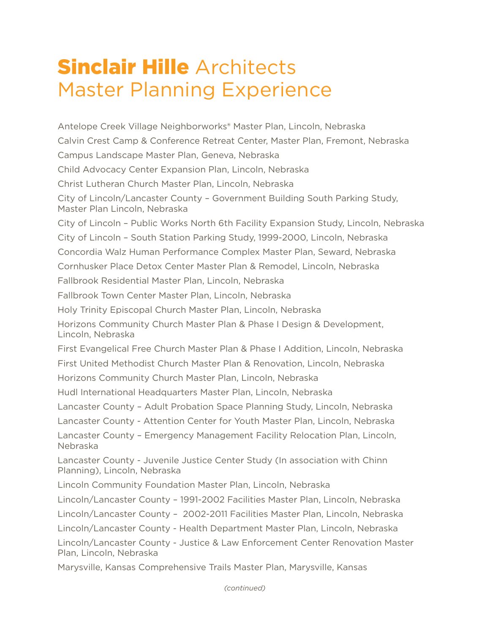## **Sinclair Hille Architects** Master Planning Experience

Antelope Creek Village Neighborworks® Master Plan, Lincoln, Nebraska Calvin Crest Camp & Conference Retreat Center, Master Plan, Fremont, Nebraska Campus Landscape Master Plan, Geneva, Nebraska Child Advocacy Center Expansion Plan, Lincoln, Nebraska Christ Lutheran Church Master Plan, Lincoln, Nebraska City of Lincoln/Lancaster County – Government Building South Parking Study, Master Plan Lincoln, Nebraska City of Lincoln – Public Works North 6th Facility Expansion Study, Lincoln, Nebraska City of Lincoln – South Station Parking Study, 1999-2000, Lincoln, Nebraska Concordia Walz Human Performance Complex Master Plan, Seward, Nebraska Cornhusker Place Detox Center Master Plan & Remodel, Lincoln, Nebraska Fallbrook Residential Master Plan, Lincoln, Nebraska Fallbrook Town Center Master Plan, Lincoln, Nebraska Holy Trinity Episcopal Church Master Plan, Lincoln, Nebraska Horizons Community Church Master Plan & Phase I Design & Development, Lincoln, Nebraska First Evangelical Free Church Master Plan & Phase I Addition, Lincoln, Nebraska First United Methodist Church Master Plan & Renovation, Lincoln, Nebraska Horizons Community Church Master Plan, Lincoln, Nebraska Hudl International Headquarters Master Plan, Lincoln, Nebraska Lancaster County – Adult Probation Space Planning Study, Lincoln, Nebraska Lancaster County - Attention Center for Youth Master Plan, Lincoln, Nebraska Lancaster County – Emergency Management Facility Relocation Plan, Lincoln, Nebraska Lancaster County - Juvenile Justice Center Study (In association with Chinn Planning), Lincoln, Nebraska Lincoln Community Foundation Master Plan, Lincoln, Nebraska Lincoln/Lancaster County – 1991-2002 Facilities Master Plan, Lincoln, Nebraska Lincoln/Lancaster County – 2002-2011 Facilities Master Plan, Lincoln, Nebraska Lincoln/Lancaster County - Health Department Master Plan, Lincoln, Nebraska Lincoln/Lancaster County - Justice & Law Enforcement Center Renovation Master Plan, Lincoln, Nebraska Marysville, Kansas Comprehensive Trails Master Plan, Marysville, Kansas